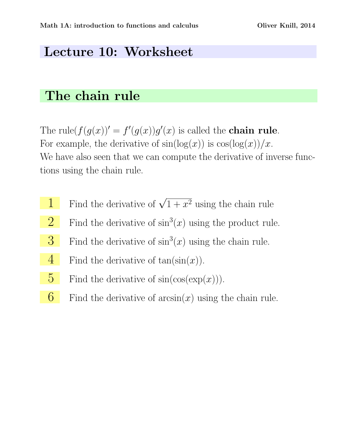## Lecture 10: Worksheet

## The chain rule

The rule $(f(g(x))' = f'(g(x))g'(x)$  is called the **chain rule**. For example, the derivative of  $sin(log(x))$  is  $cos(log(x))/x$ . We have also seen that we can compute the derivative of inverse functions using the chain rule.

- 1 Find the derivative of  $\sqrt{1+x^2}$  using the chain rule
- 2 Find the derivative of  $\sin^3(x)$  using the product rule.
- **3** Find the derivative of  $\sin^3(x)$  using the chain rule.
- 4 Find the derivative of  $tan(sin(x))$ .
- 5 Find the derivative of  $sin(cos(exp(x)))$ .
- 6 Find the derivative of  $arcsin(x)$  using the chain rule.